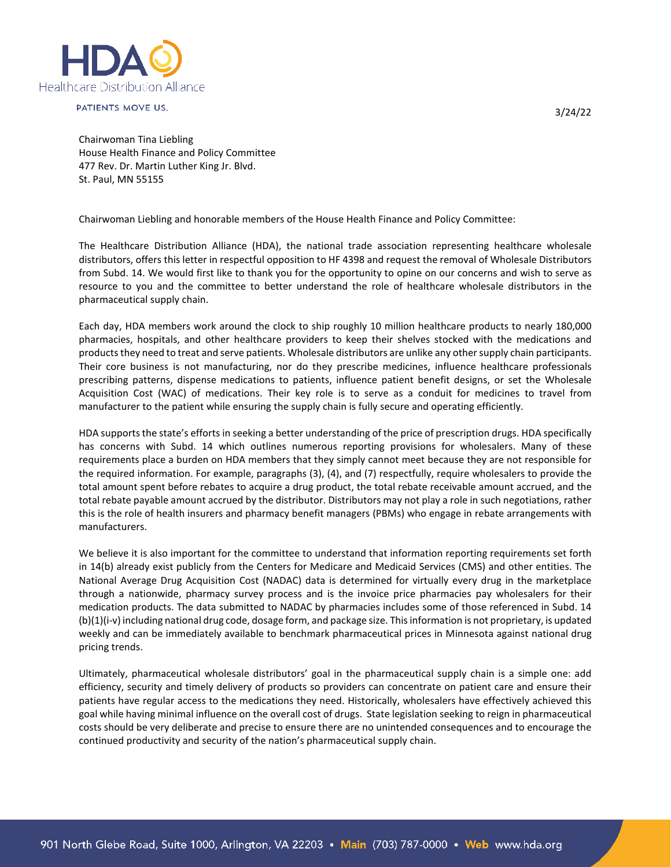

PATIENTS MOVE US.

3/24/22

Chairwoman Tina Liebling House Health Finance and Policy Committee 477 Rev. Dr. Martin Luther King Jr. Blvd. St. Paul, MN 55155

Chairwoman Liebling and honorable members of the House Health Finance and Policy Committee:

The Healthcare Distribution Alliance (HDA), the national trade association representing healthcare wholesale distributors, offers this letter in respectful opposition to HF 4398 and request the removal of Wholesale Distributors from Subd. 14. We would first like to thank you for the opportunity to opine on our concerns and wish to serve as resource to you and the committee to better understand the role of healthcare wholesale distributors in the pharmaceutical supply chain.

Each day, HDA members work around the clock to ship roughly 10 million healthcare products to nearly 180,000 pharmacies, hospitals, and other healthcare providers to keep their shelves stocked with the medications and products they need to treat and serve patients. Wholesale distributors are unlike any other supply chain participants. Their core business is not manufacturing, nor do they prescribe medicines, influence healthcare professionals prescribing patterns, dispense medications to patients, influence patient benefit designs, or set the Wholesale Acquisition Cost (WAC) of medications. Their key role is to serve as a conduit for medicines to travel from manufacturer to the patient while ensuring the supply chain is fully secure and operating efficiently.

HDA supports the state's efforts in seeking a better understanding of the price of prescription drugs. HDA specifically has concerns with Subd. 14 which outlines numerous reporting provisions for wholesalers. Many of these requirements place a burden on HDA members that they simply cannot meet because they are not responsible for the required information. For example, paragraphs (3), (4), and (7) respectfully, require wholesalers to provide the total amount spent before rebates to acquire a drug product, the total rebate receivable amount accrued, and the total rebate payable amount accrued by the distributor. Distributors may not play a role in such negotiations, rather this is the role of health insurers and pharmacy benefit managers (PBMs) who engage in rebate arrangements with manufacturers.

We believe it is also important for the committee to understand that information reporting requirements set forth in 14(b) already exist publicly from the Centers for Medicare and Medicaid Services (CMS) and other entities. The National Average Drug Acquisition Cost (NADAC) data is determined for virtually every drug in the marketplace through a nationwide, pharmacy survey process and is the invoice price pharmacies pay wholesalers for their medication products. The data submitted to NADAC by pharmacies includes some of those referenced in Subd. 14 (b)(1)(i-v) including national drug code, dosage form, and package size. This information is not proprietary, is updated weekly and can be immediately available to benchmark pharmaceutical prices in Minnesota against national drug pricing trends.

Ultimately, pharmaceutical wholesale distributors' goal in the pharmaceutical supply chain is a simple one: add efficiency, security and timely delivery of products so providers can concentrate on patient care and ensure their patients have regular access to the medications they need. Historically, wholesalers have effectively achieved this goal while having minimal influence on the overall cost of drugs. State legislation seeking to reign in pharmaceutical costs should be very deliberate and precise to ensure there are no unintended consequences and to encourage the continued productivity and security of the nation's pharmaceutical supply chain.